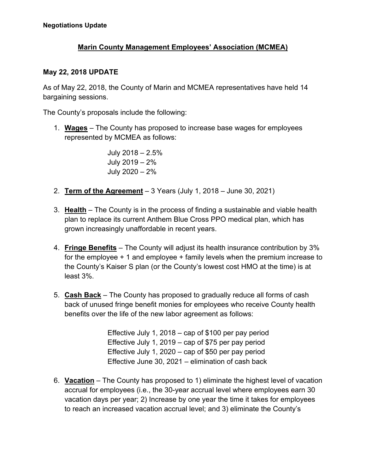## **Marin County Management Employees' Association (MCMEA)**

## **May 22, 2018 UPDATE**

As of May 22, 2018, the County of Marin and MCMEA representatives have held 14 bargaining sessions.

The County's proposals include the following:

1. **Wages** – The County has proposed to increase base wages for employees represented by MCMEA as follows:

> July 2018 – 2.5% July 2019 – 2% July 2020 – 2%

- 2. **Term of the Agreement** 3 Years (July 1, 2018 June 30, 2021)
- 3. **Health** The County is in the process of finding a sustainable and viable health plan to replace its current Anthem Blue Cross PPO medical plan, which has grown increasingly unaffordable in recent years.
- 4. **Fringe Benefits** The County will adjust its health insurance contribution by 3% for the employee + 1 and employee + family levels when the premium increase to the County's Kaiser S plan (or the County's lowest cost HMO at the time) is at least 3%.
- 5. **Cash Back** The County has proposed to gradually reduce all forms of cash back of unused fringe benefit monies for employees who receive County health benefits over the life of the new labor agreement as follows:

Effective July 1, 2018 – cap of \$100 per pay period Effective July 1, 2019 – cap of \$75 per pay period Effective July 1, 2020 – cap of \$50 per pay period Effective June 30, 2021 – elimination of cash back

6. **Vacation** – The County has proposed to 1) eliminate the highest level of vacation accrual for employees (i.e., the 30-year accrual level where employees earn 30 vacation days per year; 2) Increase by one year the time it takes for employees to reach an increased vacation accrual level; and 3) eliminate the County's